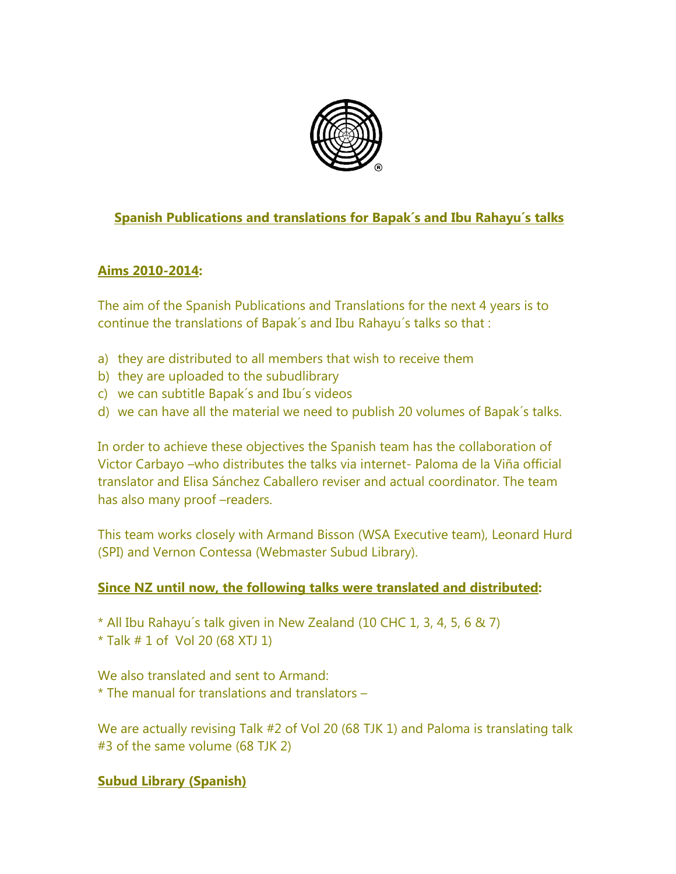

# **Spanish Publications and translations for Bapak´s and Ibu Rahayu´s talks**

# **Aims 2010-2014:**

The aim of the Spanish Publications and Translations for the next 4 years is to continue the translations of Bapak´s and Ibu Rahayu´s talks so that :

- a) they are distributed to all members that wish to receive them
- b) they are uploaded to the subudlibrary
- c) we can subtitle Bapak´s and Ibu´s videos
- d) we can have all the material we need to publish 20 volumes of Bapak´s talks.

In order to achieve these objectives the Spanish team has the collaboration of Victor Carbayo –who distributes the talks via internet- Paloma de la Viña official translator and Elisa Sánchez Caballero reviser and actual coordinator. The team has also many proof –readers.

This team works closely with Armand Bisson (WSA Executive team), Leonard Hurd (SPI) and Vernon Contessa (Webmaster Subud Library).

### **Since NZ until now, the following talks were translated and distributed:**

\* All Ibu Rahayu´s talk given in New Zealand (10 CHC 1, 3, 4, 5, 6 & 7)

 $*$  Talk  $# 1$  of Vol 20 (68 XTJ 1)

We also translated and sent to Armand: \* The manual for translations and translators –

We are actually revising Talk #2 of Vol 20 (68 TJK 1) and Paloma is translating talk #3 of the same volume (68 TJK 2)

# **Subud Library (Spanish)**